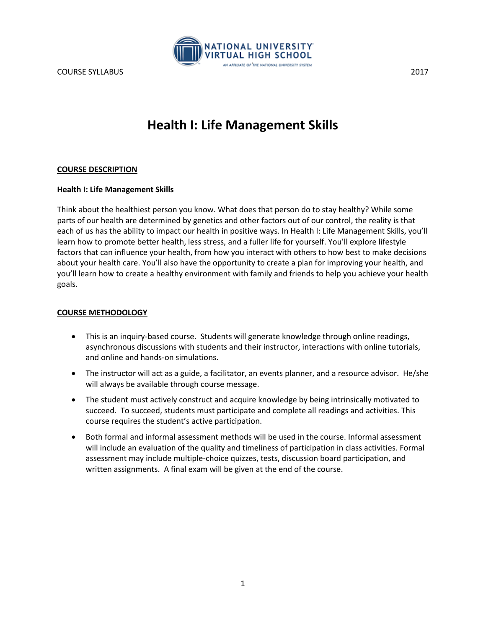

# **Health I: Life Management Skills**

#### **COURSE DESCRIPTION**

#### **Health I: Life Management Skills**

Think about the healthiest person you know. What does that person do to stay healthy? While some parts of our health are determined by genetics and other factors out of our control, the reality is that each of us has the ability to impact our health in positive ways. In Health I: Life Management Skills, you'll learn how to promote better health, less stress, and a fuller life for yourself. You'll explore lifestyle factors that can influence your health, from how you interact with others to how best to make decisions about your health care. You'll also have the opportunity to create a plan for improving your health, and you'll learn how to create a healthy environment with family and friends to help you achieve your health goals.

#### **COURSE METHODOLOGY**

- This is an inquiry-based course. Students will generate knowledge through online readings, asynchronous discussions with students and their instructor, interactions with online tutorials, and online and hands-on simulations.
- The instructor will act as a guide, a facilitator, an events planner, and a resource advisor. He/she will always be available through course message.
- The student must actively construct and acquire knowledge by being intrinsically motivated to succeed. To succeed, students must participate and complete all readings and activities. This course requires the student's active participation.
- Both formal and informal assessment methods will be used in the course. Informal assessment will include an evaluation of the quality and timeliness of participation in class activities. Formal assessment may include multiple-choice quizzes, tests, discussion board participation, and written assignments. A final exam will be given at the end of the course.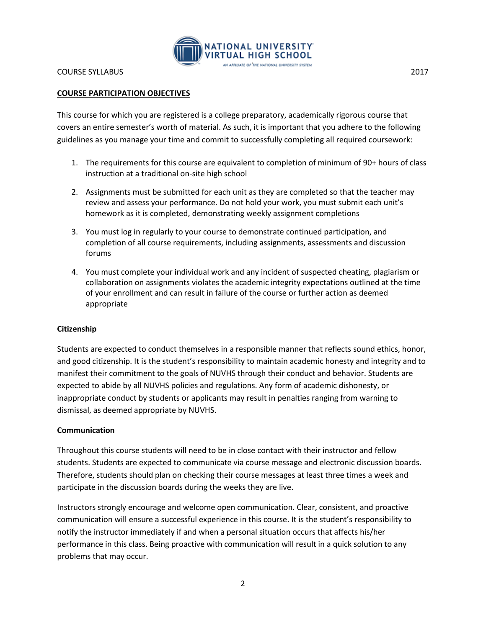

## **COURSE PARTICIPATION OBJECTIVES**

This course for which you are registered is a college preparatory, academically rigorous course that covers an entire semester's worth of material. As such, it is important that you adhere to the following guidelines as you manage your time and commit to successfully completing all required coursework:

- 1. The requirements for this course are equivalent to completion of minimum of 90+ hours of class instruction at a traditional on-site high school
- 2. Assignments must be submitted for each unit as they are completed so that the teacher may review and assess your performance. Do not hold your work, you must submit each unit's homework as it is completed, demonstrating weekly assignment completions
- 3. You must log in regularly to your course to demonstrate continued participation, and completion of all course requirements, including assignments, assessments and discussion forums
- 4. You must complete your individual work and any incident of suspected cheating, plagiarism or collaboration on assignments violates the academic integrity expectations outlined at the time of your enrollment and can result in failure of the course or further action as deemed appropriate

#### **Citizenship**

Students are expected to conduct themselves in a responsible manner that reflects sound ethics, honor, and good citizenship. It is the student's responsibility to maintain academic honesty and integrity and to manifest their commitment to the goals of NUVHS through their conduct and behavior. Students are expected to abide by all NUVHS policies and regulations. Any form of academic dishonesty, or inappropriate conduct by students or applicants may result in penalties ranging from warning to dismissal, as deemed appropriate by NUVHS.

#### **Communication**

Throughout this course students will need to be in close contact with their instructor and fellow students. Students are expected to communicate via course message and electronic discussion boards. Therefore, students should plan on checking their course messages at least three times a week and participate in the discussion boards during the weeks they are live.

Instructors strongly encourage and welcome open communication. Clear, consistent, and proactive communication will ensure a successful experience in this course. It is the student's responsibility to notify the instructor immediately if and when a personal situation occurs that affects his/her performance in this class. Being proactive with communication will result in a quick solution to any problems that may occur.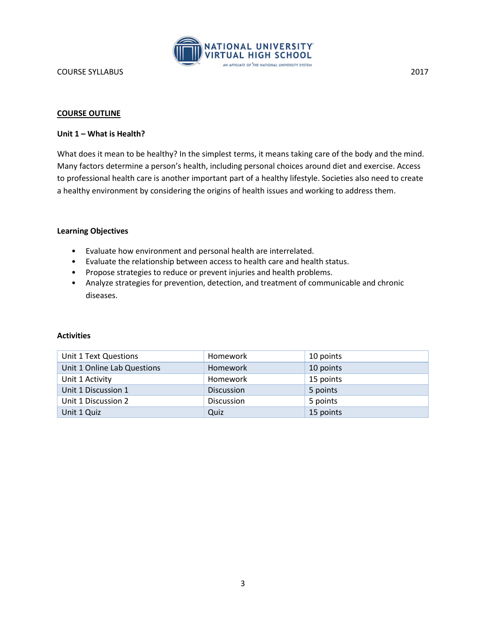

#### **COURSE OUTLINE**

#### **Unit 1 – What is Health?**

What does it mean to be healthy? In the simplest terms, it means taking care of the body and the mind. Many factors determine a person's health, including personal choices around diet and exercise. Access to professional health care is another important part of a healthy lifestyle. Societies also need to create a healthy environment by considering the origins of health issues and working to address them.

#### **Learning Objectives**

- Evaluate how environment and personal health are interrelated.
- Evaluate the relationship between access to health care and health status.
- Propose strategies to reduce or prevent injuries and health problems.
- Analyze strategies for prevention, detection, and treatment of communicable and chronic diseases.

| Unit 1 Text Questions       | <b>Homework</b>   | 10 points |
|-----------------------------|-------------------|-----------|
| Unit 1 Online Lab Questions | <b>Homework</b>   | 10 points |
| Unit 1 Activity             | Homework          | 15 points |
| Unit 1 Discussion 1         | <b>Discussion</b> | 5 points  |
| Unit 1 Discussion 2         | <b>Discussion</b> | 5 points  |
| Unit 1 Quiz                 | Quiz              | 15 points |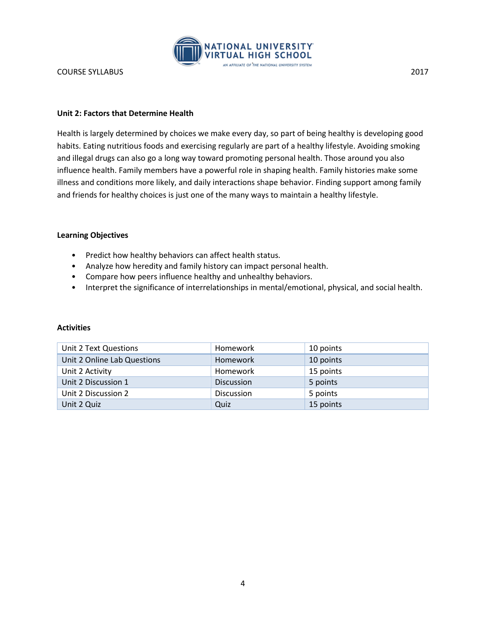

#### **Unit 2: Factors that Determine Health**

Health is largely determined by choices we make every day, so part of being healthy is developing good habits. Eating nutritious foods and exercising regularly are part of a healthy lifestyle. Avoiding smoking and illegal drugs can also go a long way toward promoting personal health. Those around you also influence health. Family members have a powerful role in shaping health. Family histories make some illness and conditions more likely, and daily interactions shape behavior. Finding support among family and friends for healthy choices is just one of the many ways to maintain a healthy lifestyle.

#### **Learning Objectives**

- Predict how healthy behaviors can affect health status.
- Analyze how heredity and family history can impact personal health.
- Compare how peers influence healthy and unhealthy behaviors.
- Interpret the significance of interrelationships in mental/emotional, physical, and social health.

| Unit 2 Text Questions       | Homework          | 10 points |
|-----------------------------|-------------------|-----------|
| Unit 2 Online Lab Questions | <b>Homework</b>   | 10 points |
| Unit 2 Activity             | Homework          | 15 points |
| Unit 2 Discussion 1         | <b>Discussion</b> | 5 points  |
| Unit 2 Discussion 2         | <b>Discussion</b> | 5 points  |
| Unit 2 Quiz                 | Quiz              | 15 points |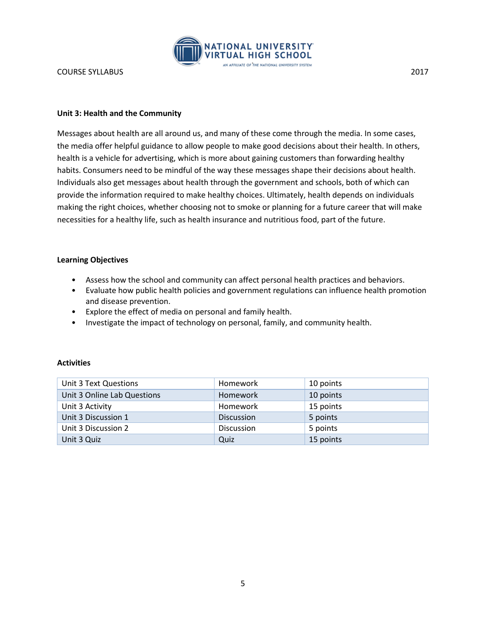

#### **Unit 3: Health and the Community**

Messages about health are all around us, and many of these come through the media. In some cases, the media offer helpful guidance to allow people to make good decisions about their health. In others, health is a vehicle for advertising, which is more about gaining customers than forwarding healthy habits. Consumers need to be mindful of the way these messages shape their decisions about health. Individuals also get messages about health through the government and schools, both of which can provide the information required to make healthy choices. Ultimately, health depends on individuals making the right choices, whether choosing not to smoke or planning for a future career that will make necessities for a healthy life, such as health insurance and nutritious food, part of the future.

#### **Learning Objectives**

- Assess how the school and community can affect personal health practices and behaviors.
- Evaluate how public health policies and government regulations can influence health promotion and disease prevention.
- Explore the effect of media on personal and family health.
- Investigate the impact of technology on personal, family, and community health.

| Unit 3 Text Questions       | Homework          | 10 points |
|-----------------------------|-------------------|-----------|
| Unit 3 Online Lab Questions | <b>Homework</b>   | 10 points |
| Unit 3 Activity             | Homework          | 15 points |
| Unit 3 Discussion 1         | <b>Discussion</b> | 5 points  |
| Unit 3 Discussion 2         | <b>Discussion</b> | 5 points  |
| Unit 3 Quiz                 | Quiz              | 15 points |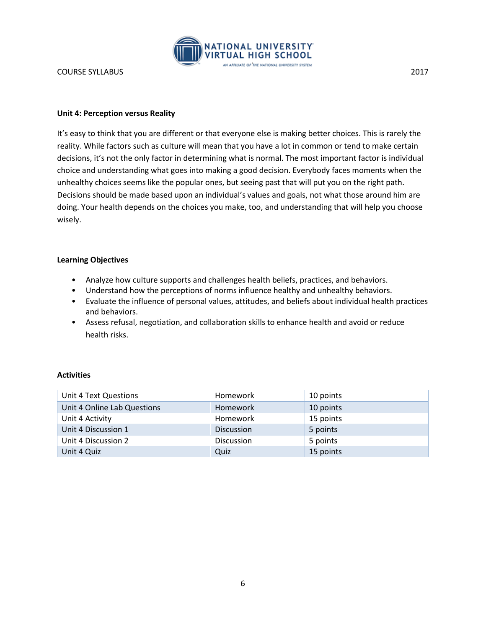

#### **Unit 4: Perception versus Reality**

It's easy to think that you are different or that everyone else is making better choices. This is rarely the reality. While factors such as culture will mean that you have a lot in common or tend to make certain decisions, it's not the only factor in determining what is normal. The most important factor is individual choice and understanding what goes into making a good decision. Everybody faces moments when the unhealthy choices seems like the popular ones, but seeing past that will put you on the right path. Decisions should be made based upon an individual's values and goals, not what those around him are doing. Your health depends on the choices you make, too, and understanding that will help you choose wisely.

#### **Learning Objectives**

- Analyze how culture supports and challenges health beliefs, practices, and behaviors.
- Understand how the perceptions of norms influence healthy and unhealthy behaviors.
- Evaluate the influence of personal values, attitudes, and beliefs about individual health practices and behaviors.
- Assess refusal, negotiation, and collaboration skills to enhance health and avoid or reduce health risks.

| Unit 4 Text Questions       | Homework          | 10 points |
|-----------------------------|-------------------|-----------|
| Unit 4 Online Lab Questions | <b>Homework</b>   | 10 points |
| Unit 4 Activity             | Homework          | 15 points |
| Unit 4 Discussion 1         | <b>Discussion</b> | 5 points  |
| Unit 4 Discussion 2         | <b>Discussion</b> | 5 points  |
| Unit 4 Quiz                 | Quiz              | 15 points |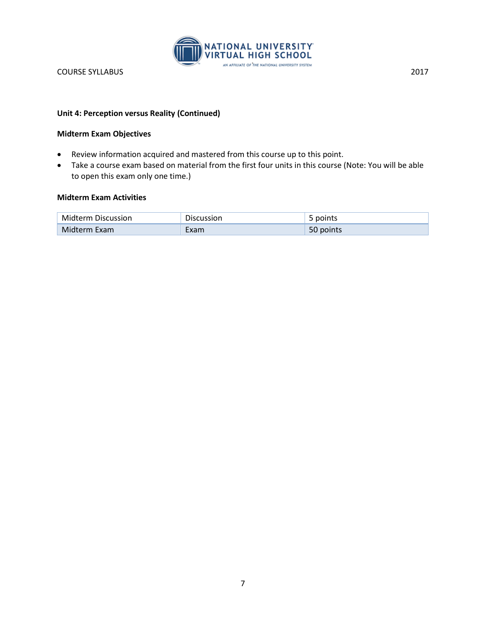

## **Unit 4: Perception versus Reality (Continued)**

#### **Midterm Exam Objectives**

- Review information acquired and mastered from this course up to this point.
- Take a course exam based on material from the first four units in this course (Note: You will be able to open this exam only one time.)

## **Midterm Exam Activities**

| <b>Midterm Discussion</b> | <b>Discussion</b> | points    |
|---------------------------|-------------------|-----------|
| Midterm Exam              | Exam              | 50 points |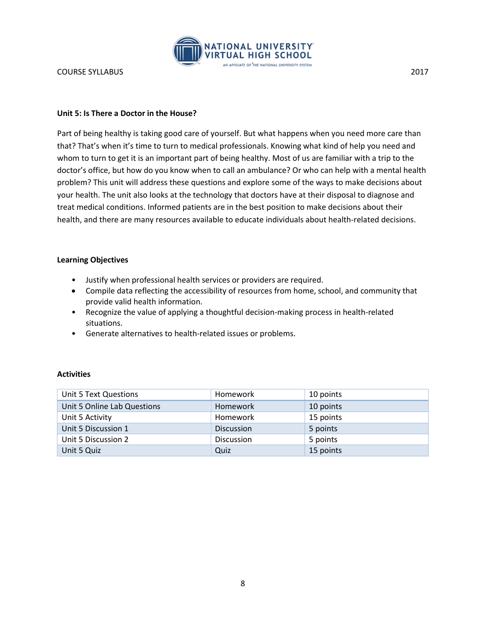

#### **Unit 5: Is There a Doctor in the House?**

Part of being healthy is taking good care of yourself. But what happens when you need more care than that? That's when it's time to turn to medical professionals. Knowing what kind of help you need and whom to turn to get it is an important part of being healthy. Most of us are familiar with a trip to the doctor's office, but how do you know when to call an ambulance? Or who can help with a mental health problem? This unit will address these questions and explore some of the ways to make decisions about your health. The unit also looks at the technology that doctors have at their disposal to diagnose and treat medical conditions. Informed patients are in the best position to make decisions about their health, and there are many resources available to educate individuals about health-related decisions.

#### **Learning Objectives**

- Justify when professional health services or providers are required.
- Compile data reflecting the accessibility of resources from home, school, and community that provide valid health information.
- Recognize the value of applying a thoughtful decision-making process in health-related situations.
- Generate alternatives to health-related issues or problems.

| Unit 5 Text Questions       | Homework          | 10 points |
|-----------------------------|-------------------|-----------|
| Unit 5 Online Lab Questions | <b>Homework</b>   | 10 points |
| Unit 5 Activity             | Homework          | 15 points |
| Unit 5 Discussion 1         | <b>Discussion</b> | 5 points  |
| Unit 5 Discussion 2         | <b>Discussion</b> | 5 points  |
| Unit 5 Quiz                 | Quiz              | 15 points |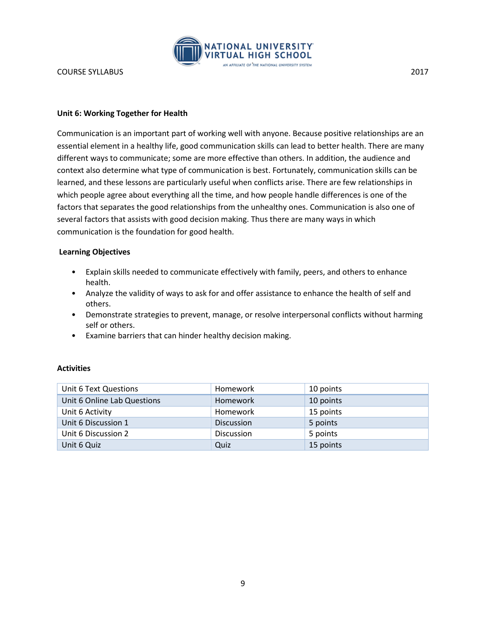

#### **Unit 6: Working Together for Health**

Communication is an important part of working well with anyone. Because positive relationships are an essential element in a healthy life, good communication skills can lead to better health. There are many different ways to communicate; some are more effective than others. In addition, the audience and context also determine what type of communication is best. Fortunately, communication skills can be learned, and these lessons are particularly useful when conflicts arise. There are few relationships in which people agree about everything all the time, and how people handle differences is one of the factors that separates the good relationships from the unhealthy ones. Communication is also one of several factors that assists with good decision making. Thus there are many ways in which communication is the foundation for good health.

#### **Learning Objectives**

- Explain skills needed to communicate effectively with family, peers, and others to enhance health.
- Analyze the validity of ways to ask for and offer assistance to enhance the health of self and others.
- Demonstrate strategies to prevent, manage, or resolve interpersonal conflicts without harming self or others.
- Examine barriers that can hinder healthy decision making.

| Unit 6 Text Questions       | Homework          | 10 points |
|-----------------------------|-------------------|-----------|
| Unit 6 Online Lab Questions | <b>Homework</b>   | 10 points |
| Unit 6 Activity             | Homework          | 15 points |
| Unit 6 Discussion 1         | <b>Discussion</b> | 5 points  |
| Unit 6 Discussion 2         | Discussion        | 5 points  |
| Unit 6 Quiz                 | Quiz              | 15 points |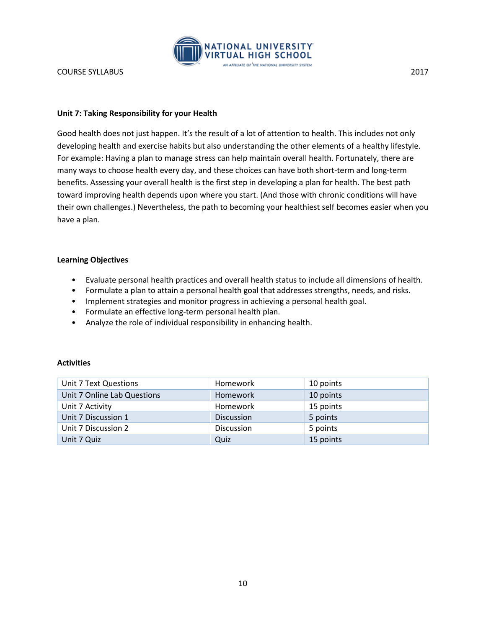

## **Unit 7: Taking Responsibility for your Health**

Good health does not just happen. It's the result of a lot of attention to health. This includes not only developing health and exercise habits but also understanding the other elements of a healthy lifestyle. For example: Having a plan to manage stress can help maintain overall health. Fortunately, there are many ways to choose health every day, and these choices can have both short-term and long-term benefits. Assessing your overall health is the first step in developing a plan for health. The best path toward improving health depends upon where you start. (And those with chronic conditions will have their own challenges.) Nevertheless, the path to becoming your healthiest self becomes easier when you have a plan.

#### **Learning Objectives**

- Evaluate personal health practices and overall health status to include all dimensions of health.
- Formulate a plan to attain a personal health goal that addresses strengths, needs, and risks.
- Implement strategies and monitor progress in achieving a personal health goal.
- Formulate an effective long-term personal health plan.
- Analyze the role of individual responsibility in enhancing health.

| Unit 7 Text Questions       | Homework          | 10 points |
|-----------------------------|-------------------|-----------|
| Unit 7 Online Lab Questions | <b>Homework</b>   | 10 points |
| Unit 7 Activity             | Homework          | 15 points |
| Unit 7 Discussion 1         | <b>Discussion</b> | 5 points  |
| Unit 7 Discussion 2         | <b>Discussion</b> | 5 points  |
| Unit 7 Quiz                 | Quiz              | 15 points |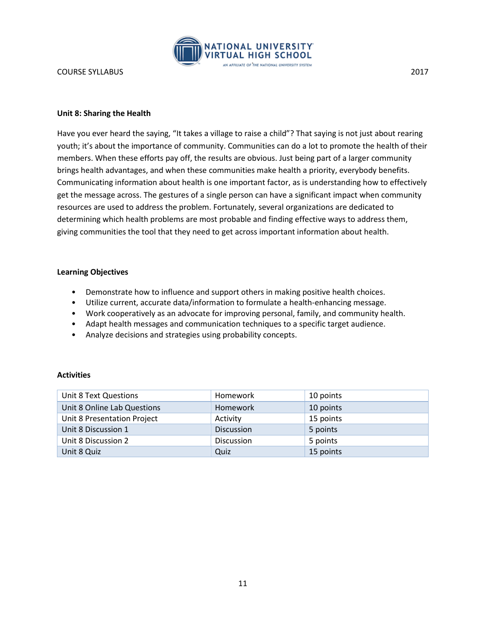

#### **Unit 8: Sharing the Health**

Have you ever heard the saying, "It takes a village to raise a child"? That saying is not just about rearing youth; it's about the importance of community. Communities can do a lot to promote the health of their members. When these efforts pay off, the results are obvious. Just being part of a larger community brings health advantages, and when these communities make health a priority, everybody benefits. Communicating information about health is one important factor, as is understanding how to effectively get the message across. The gestures of a single person can have a significant impact when community resources are used to address the problem. Fortunately, several organizations are dedicated to determining which health problems are most probable and finding effective ways to address them, giving communities the tool that they need to get across important information about health.

#### **Learning Objectives**

- Demonstrate how to influence and support others in making positive health choices.
- Utilize current, accurate data/information to formulate a health-enhancing message.
- Work cooperatively as an advocate for improving personal, family, and community health.
- Adapt health messages and communication techniques to a specific target audience.
- Analyze decisions and strategies using probability concepts.

| Unit 8 Text Questions       | Homework          | 10 points |
|-----------------------------|-------------------|-----------|
| Unit 8 Online Lab Questions | <b>Homework</b>   | 10 points |
| Unit 8 Presentation Project | Activity          | 15 points |
| Unit 8 Discussion 1         | <b>Discussion</b> | 5 points  |
| Unit 8 Discussion 2         | <b>Discussion</b> | 5 points  |
| Unit 8 Quiz                 | Quiz              | 15 points |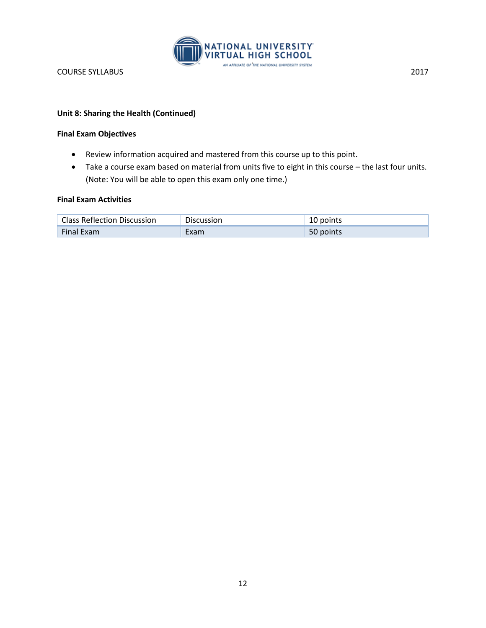

## **Unit 8: Sharing the Health (Continued)**

#### **Final Exam Objectives**

- Review information acquired and mastered from this course up to this point.
- Take a course exam based on material from units five to eight in this course the last four units. (Note: You will be able to open this exam only one time.)

#### **Final Exam Activities**

| <b>Class Reflection Discussion</b> | Discussion | 10 points |
|------------------------------------|------------|-----------|
| <b>Final Exam</b>                  | :xam       | 50 points |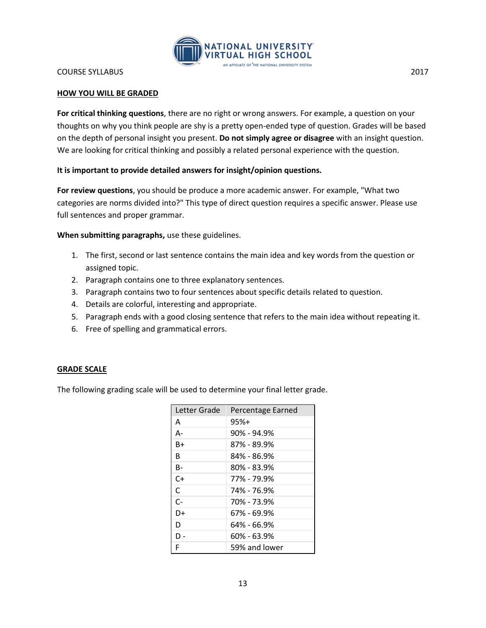

#### **HOW YOU WILL BE GRADED**

**For critical thinking questions**, there are no right or wrong answers. For example, a question on your thoughts on why you think people are shy is a pretty open-ended type of question. Grades will be based on the depth of personal insight you present. **Do not simply agree or disagree** with an insight question. We are looking for critical thinking and possibly a related personal experience with the question.

#### **It is important to provide detailed answers for insight/opinion questions.**

**For review questions**, you should be produce a more academic answer. For example, "What two categories are norms divided into?" This type of direct question requires a specific answer. Please use full sentences and proper grammar.

**When submitting paragraphs,** use these guidelines.

- 1. The first, second or last sentence contains the main idea and key words from the question or assigned topic.
- 2. Paragraph contains one to three explanatory sentences.
- 3. Paragraph contains two to four sentences about specific details related to question.
- 4. Details are colorful, interesting and appropriate.
- 5. Paragraph ends with a good closing sentence that refers to the main idea without repeating it.
- 6. Free of spelling and grammatical errors.

#### **GRADE SCALE**

The following grading scale will be used to determine your final letter grade.

| Letter Grade | Percentage Earned |
|--------------|-------------------|
| A            | $95%+$            |
| А-           | 90% - 94.9%       |
| B+           | 87% - 89.9%       |
| R            | 84% - 86.9%       |
| B-           | 80% - 83.9%       |
| $C+$         | 77% - 79.9%       |
| C            | 74% - 76.9%       |
| $C-$         | 70% - 73.9%       |
| D+           | 67% - 69.9%       |
| D            | 64% - 66.9%       |
| - ח          | 60% - 63.9%       |
| F            | 59% and lower     |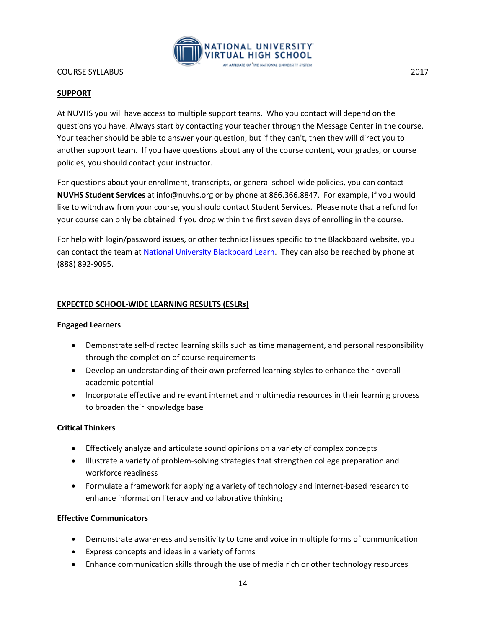

#### **SUPPORT**

At NUVHS you will have access to multiple support teams. Who you contact will depend on the questions you have. Always start by contacting your teacher through the Message Center in the course. Your teacher should be able to answer your question, but if they can't, then they will direct you to another support team. If you have questions about any of the course content, your grades, or course policies, you should contact your instructor.

For questions about your enrollment, transcripts, or general school-wide policies, you can contact **NUVHS Student Services** at info@nuvhs.org or by phone at 866.366.8847. For example, if you would like to withdraw from your course, you should contact Student Services. Please note that a refund for your course can only be obtained if you drop within the first seven days of enrolling in the course.

For help with login/password issues, or other technical issues specific to the Blackboard website, you can contact the team at [National University Blackboard Learn.](http://nu.edusupportcenter.com/sims/helpcenter/common/layout/SelfHelpHome.seam?inst_name=nationalu) They can also be reached by phone at (888) 892-9095.

#### **EXPECTED SCHOOL-WIDE LEARNING RESULTS (ESLRs)**

#### **Engaged Learners**

- Demonstrate self-directed learning skills such as time management, and personal responsibility through the completion of course requirements
- Develop an understanding of their own preferred learning styles to enhance their overall academic potential
- Incorporate effective and relevant internet and multimedia resources in their learning process to broaden their knowledge base

#### **Critical Thinkers**

- Effectively analyze and articulate sound opinions on a variety of complex concepts
- Illustrate a variety of problem-solving strategies that strengthen college preparation and workforce readiness
- Formulate a framework for applying a variety of technology and internet-based research to enhance information literacy and collaborative thinking

#### **Effective Communicators**

- Demonstrate awareness and sensitivity to tone and voice in multiple forms of communication
- Express concepts and ideas in a variety of forms
- Enhance communication skills through the use of media rich or other technology resources